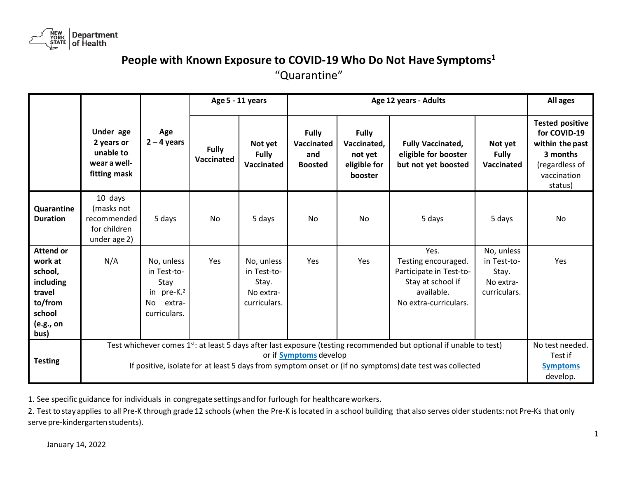

## **People with Known Exposure to COVID-19 Who Do Not Have Symptoms<sup>1</sup>**

"Quarantine"

|                                                                                                         |                                                                                                                                                                                                                                                                |                                                                                             | Age 5 - 11 years           |                                                                 | Age 12 years - Adults                               |                                                                   |                                                                                                                    |                                                                 | All ages                                                                                                          |
|---------------------------------------------------------------------------------------------------------|----------------------------------------------------------------------------------------------------------------------------------------------------------------------------------------------------------------------------------------------------------------|---------------------------------------------------------------------------------------------|----------------------------|-----------------------------------------------------------------|-----------------------------------------------------|-------------------------------------------------------------------|--------------------------------------------------------------------------------------------------------------------|-----------------------------------------------------------------|-------------------------------------------------------------------------------------------------------------------|
|                                                                                                         | Under age<br>2 years or<br>unable to<br>wear a well-<br>fitting mask                                                                                                                                                                                           | Age<br>$2 - 4$ years                                                                        | <b>Fully</b><br>Vaccinated | Not yet<br>Fully<br>Vaccinated                                  | <b>Fully</b><br>Vaccinated<br>and<br><b>Boosted</b> | <b>Fully</b><br>Vaccinated,<br>not yet<br>eligible for<br>booster | <b>Fully Vaccinated,</b><br>eligible for booster<br>but not yet boosted                                            | Not yet<br><b>Fully</b><br>Vaccinated                           | <b>Tested positive</b><br>for COVID-19<br>within the past<br>3 months<br>(regardless of<br>vaccination<br>status) |
| Quarantine<br><b>Duration</b>                                                                           | 10 days<br>(masks not<br>recommended<br>for children<br>under age 2)                                                                                                                                                                                           | 5 days                                                                                      | No                         | 5 days                                                          | No                                                  | No.                                                               | 5 days                                                                                                             | 5 days                                                          | No                                                                                                                |
| <b>Attend or</b><br>work at<br>school,<br>including<br>travel<br>to/from<br>school<br>(e.g., on<br>bus) | N/A                                                                                                                                                                                                                                                            | No, unless<br>in Test-to-<br>Stay<br>in pre-K. <sup>2</sup><br>extra-<br>No<br>curriculars. | Yes                        | No, unless<br>in Test-to-<br>Stay.<br>No extra-<br>curriculars. | Yes                                                 | Yes                                                               | Yes.<br>Testing encouraged.<br>Participate in Test-to-<br>Stay at school if<br>available.<br>No extra-curriculars. | No, unless<br>in Test-to-<br>Stay.<br>No extra-<br>curriculars. | Yes                                                                                                               |
| <b>Testing</b>                                                                                          | Test whichever comes 1st: at least 5 days after last exposure (testing recommended but optional if unable to test)<br>or if <b>Symptoms</b> develop<br>If positive, isolate for at least 5 days from symptom onset or (if no symptoms) date test was collected |                                                                                             |                            |                                                                 |                                                     |                                                                   |                                                                                                                    | No test needed.<br>Test if<br><b>Symptoms</b><br>develop.       |                                                                                                                   |

1. See specific guidance for individuals in congregate settings andfor furlough for healthcareworkers.

2. Test to stay applies to all Pre-K through grade 12 schools (when the Pre-K is located in a school building that also serves older students: not Pre-Ks that only serve pre-kindergarten students).